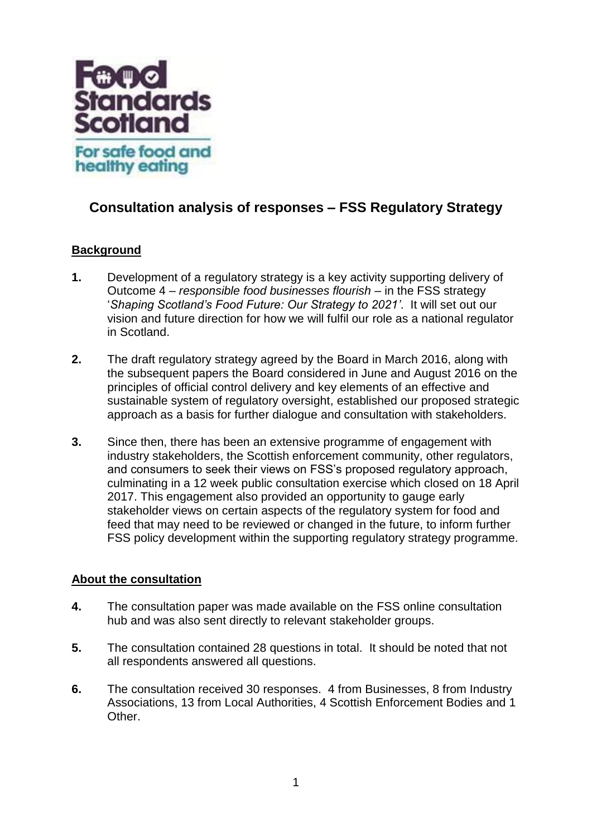

# **Consultation analysis of responses – FSS Regulatory Strategy**

# **Background**

- **1.** Development of a regulatory strategy is a key activity supporting delivery of Outcome 4 – *responsible food businesses flourish* – in the FSS strategy '*Shaping Scotland's Food Future: Our Strategy to 2021'*. It will set out our vision and future direction for how we will fulfil our role as a national regulator in Scotland.
- **2.** The draft regulatory strategy agreed by the Board in March 2016, along with the subsequent papers the Board considered in June and August 2016 on the principles of official control delivery and key elements of an effective and sustainable system of regulatory oversight, established our proposed strategic approach as a basis for further dialogue and consultation with stakeholders.
- **3.** Since then, there has been an extensive programme of engagement with industry stakeholders, the Scottish enforcement community, other regulators, and consumers to seek their views on FSS's proposed regulatory approach, culminating in a 12 week public consultation exercise which closed on 18 April 2017. This engagement also provided an opportunity to gauge early stakeholder views on certain aspects of the regulatory system for food and feed that may need to be reviewed or changed in the future, to inform further FSS policy development within the supporting regulatory strategy programme.

## **About the consultation**

- **4.** The consultation paper was made available on the FSS online consultation hub and was also sent directly to relevant stakeholder groups.
- **5.** The consultation contained 28 questions in total. It should be noted that not all respondents answered all questions.
- **6.** The consultation received 30 responses. 4 from Businesses, 8 from Industry Associations, 13 from Local Authorities, 4 Scottish Enforcement Bodies and 1 Other.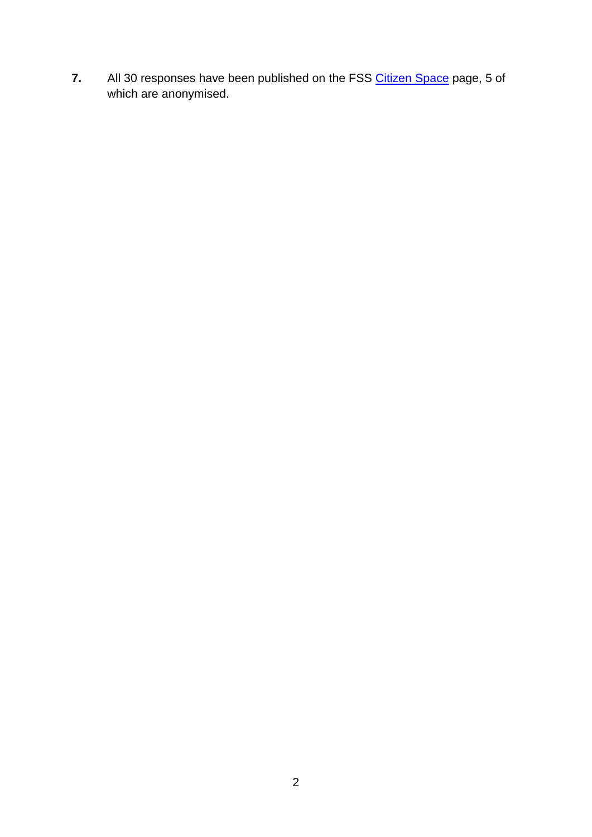**7.** All 30 responses have been published on the FSS [Citizen Space](https://consult.foodstandards.gov.scot/regulatory-policy/regulatory-strategy-2016/) page, 5 of which are anonymised.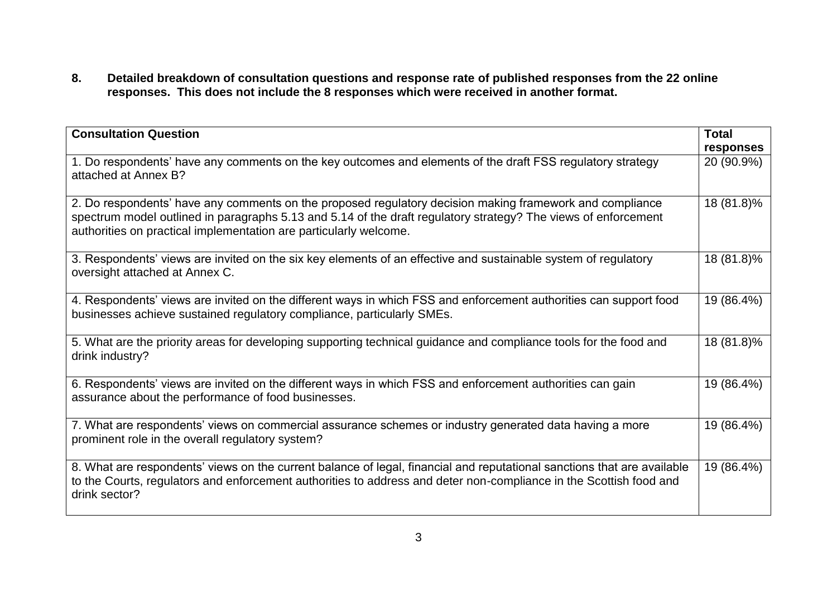**8. Detailed breakdown of consultation questions and response rate of published responses from the 22 online responses. This does not include the 8 responses which were received in another format.**

| <b>Consultation Question</b>                                                                                                                                                                                                                                                                    | <b>Total</b> |
|-------------------------------------------------------------------------------------------------------------------------------------------------------------------------------------------------------------------------------------------------------------------------------------------------|--------------|
|                                                                                                                                                                                                                                                                                                 | responses    |
| 1. Do respondents' have any comments on the key outcomes and elements of the draft FSS regulatory strategy<br>attached at Annex B?                                                                                                                                                              | 20 (90.9%)   |
| 2. Do respondents' have any comments on the proposed regulatory decision making framework and compliance<br>spectrum model outlined in paragraphs 5.13 and 5.14 of the draft regulatory strategy? The views of enforcement<br>authorities on practical implementation are particularly welcome. | 18 (81.8)%   |
| 3. Respondents' views are invited on the six key elements of an effective and sustainable system of regulatory<br>oversight attached at Annex C.                                                                                                                                                | 18 (81.8)%   |
| 4. Respondents' views are invited on the different ways in which FSS and enforcement authorities can support food<br>businesses achieve sustained regulatory compliance, particularly SMEs.                                                                                                     | 19 (86.4%)   |
| 5. What are the priority areas for developing supporting technical guidance and compliance tools for the food and<br>drink industry?                                                                                                                                                            | 18 (81.8)%   |
| 6. Respondents' views are invited on the different ways in which FSS and enforcement authorities can gain<br>assurance about the performance of food businesses.                                                                                                                                | 19 (86.4%)   |
| 7. What are respondents' views on commercial assurance schemes or industry generated data having a more<br>prominent role in the overall regulatory system?                                                                                                                                     | 19 (86.4%)   |
| 8. What are respondents' views on the current balance of legal, financial and reputational sanctions that are available<br>to the Courts, regulators and enforcement authorities to address and deter non-compliance in the Scottish food and<br>drink sector?                                  | 19 (86.4%)   |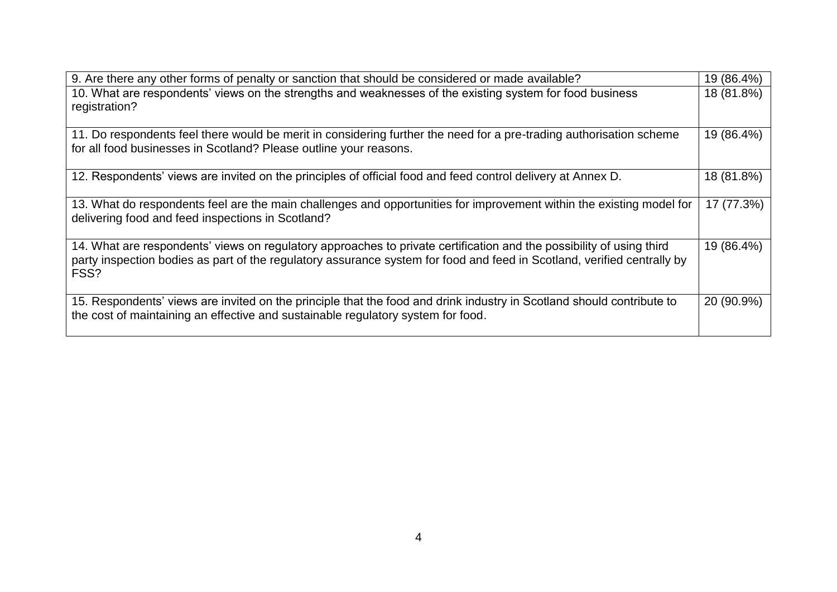| 9. Are there any other forms of penalty or sanction that should be considered or made available?                        | 19 (86.4%) |
|-------------------------------------------------------------------------------------------------------------------------|------------|
| 10. What are respondents' views on the strengths and weaknesses of the existing system for food business                | 18 (81.8%) |
| registration?                                                                                                           |            |
|                                                                                                                         |            |
| 11. Do respondents feel there would be merit in considering further the need for a pre-trading authorisation scheme     | 19 (86.4%) |
| for all food businesses in Scotland? Please outline your reasons.                                                       |            |
|                                                                                                                         |            |
| 12. Respondents' views are invited on the principles of official food and feed control delivery at Annex D.             | 18 (81.8%) |
|                                                                                                                         |            |
| 13. What do respondents feel are the main challenges and opportunities for improvement within the existing model for    | 17 (77.3%) |
| delivering food and feed inspections in Scotland?                                                                       |            |
|                                                                                                                         |            |
| 14. What are respondents' views on regulatory approaches to private certification and the possibility of using third    | 19 (86.4%) |
| party inspection bodies as part of the regulatory assurance system for food and feed in Scotland, verified centrally by |            |
| FSS?                                                                                                                    |            |
|                                                                                                                         |            |
| 15. Respondents' views are invited on the principle that the food and drink industry in Scotland should contribute to   | 20 (90.9%) |
| the cost of maintaining an effective and sustainable regulatory system for food.                                        |            |
|                                                                                                                         |            |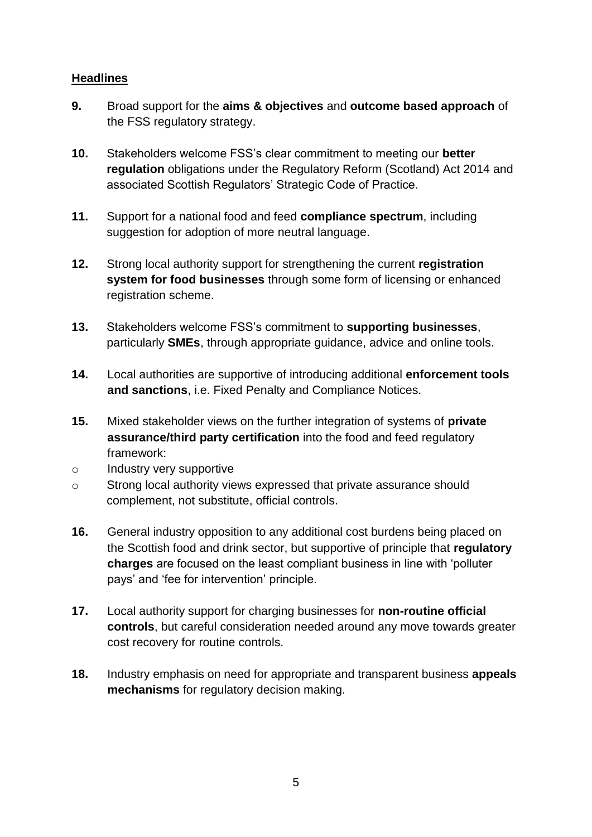# **Headlines**

- **9.** Broad support for the **aims & objectives** and **outcome based approach** of the FSS regulatory strategy.
- **10.** Stakeholders welcome FSS's clear commitment to meeting our **better regulation** obligations under the Regulatory Reform (Scotland) Act 2014 and associated Scottish Regulators' Strategic Code of Practice.
- **11.** Support for a national food and feed **compliance spectrum**, including suggestion for adoption of more neutral language.
- **12.** Strong local authority support for strengthening the current **registration system for food businesses** through some form of licensing or enhanced registration scheme.
- **13.** Stakeholders welcome FSS's commitment to **supporting businesses**, particularly **SMEs**, through appropriate guidance, advice and online tools.
- **14.** Local authorities are supportive of introducing additional **enforcement tools and sanctions**, i.e. Fixed Penalty and Compliance Notices.
- **15.** Mixed stakeholder views on the further integration of systems of **private assurance/third party certification** into the food and feed regulatory framework:
- o Industry very supportive
- o Strong local authority views expressed that private assurance should complement, not substitute, official controls.
- **16.** General industry opposition to any additional cost burdens being placed on the Scottish food and drink sector, but supportive of principle that **regulatory charges** are focused on the least compliant business in line with 'polluter pays' and 'fee for intervention' principle.
- **17.** Local authority support for charging businesses for **non-routine official controls**, but careful consideration needed around any move towards greater cost recovery for routine controls.
- **18.** Industry emphasis on need for appropriate and transparent business **appeals mechanisms** for regulatory decision making.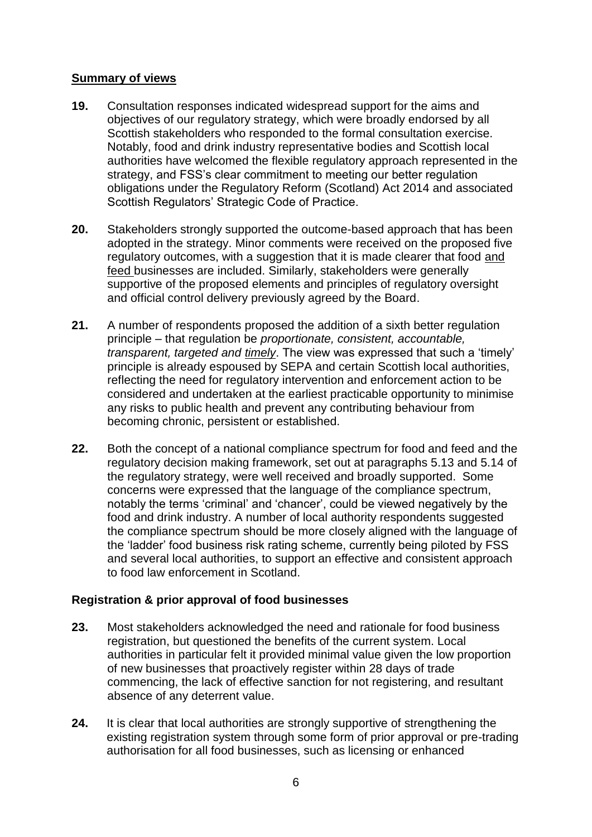# **Summary of views**

- **19.** Consultation responses indicated widespread support for the aims and objectives of our regulatory strategy, which were broadly endorsed by all Scottish stakeholders who responded to the formal consultation exercise. Notably, food and drink industry representative bodies and Scottish local authorities have welcomed the flexible regulatory approach represented in the strategy, and FSS's clear commitment to meeting our better regulation obligations under the Regulatory Reform (Scotland) Act 2014 and associated Scottish Regulators' Strategic Code of Practice.
- **20.** Stakeholders strongly supported the outcome-based approach that has been adopted in the strategy. Minor comments were received on the proposed five regulatory outcomes, with a suggestion that it is made clearer that food and feed businesses are included. Similarly, stakeholders were generally supportive of the proposed elements and principles of regulatory oversight and official control delivery previously agreed by the Board.
- **21.** A number of respondents proposed the addition of a sixth better regulation principle – that regulation be *proportionate, consistent, accountable, transparent, targeted and timely*. The view was expressed that such a 'timely' principle is already espoused by SEPA and certain Scottish local authorities, reflecting the need for regulatory intervention and enforcement action to be considered and undertaken at the earliest practicable opportunity to minimise any risks to public health and prevent any contributing behaviour from becoming chronic, persistent or established.
- **22.** Both the concept of a national compliance spectrum for food and feed and the regulatory decision making framework, set out at paragraphs 5.13 and 5.14 of the regulatory strategy, were well received and broadly supported. Some concerns were expressed that the language of the compliance spectrum, notably the terms 'criminal' and 'chancer', could be viewed negatively by the food and drink industry. A number of local authority respondents suggested the compliance spectrum should be more closely aligned with the language of the 'ladder' food business risk rating scheme, currently being piloted by FSS and several local authorities, to support an effective and consistent approach to food law enforcement in Scotland.

# **Registration & prior approval of food businesses**

- **23.** Most stakeholders acknowledged the need and rationale for food business registration, but questioned the benefits of the current system. Local authorities in particular felt it provided minimal value given the low proportion of new businesses that proactively register within 28 days of trade commencing, the lack of effective sanction for not registering, and resultant absence of any deterrent value.
- **24.** It is clear that local authorities are strongly supportive of strengthening the existing registration system through some form of prior approval or pre-trading authorisation for all food businesses, such as licensing or enhanced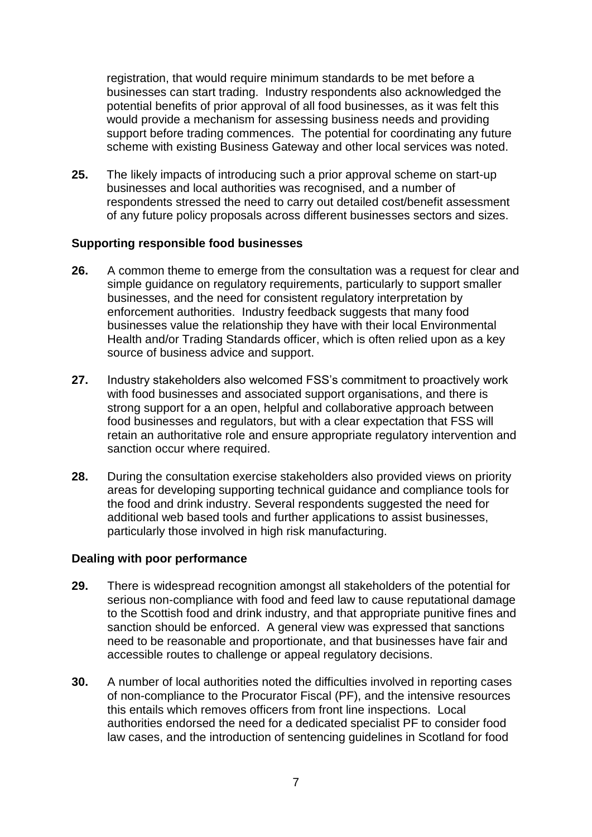registration, that would require minimum standards to be met before a businesses can start trading. Industry respondents also acknowledged the potential benefits of prior approval of all food businesses, as it was felt this would provide a mechanism for assessing business needs and providing support before trading commences. The potential for coordinating any future scheme with existing Business Gateway and other local services was noted.

**25.** The likely impacts of introducing such a prior approval scheme on start-up businesses and local authorities was recognised, and a number of respondents stressed the need to carry out detailed cost/benefit assessment of any future policy proposals across different businesses sectors and sizes.

#### **Supporting responsible food businesses**

- **26.** A common theme to emerge from the consultation was a request for clear and simple guidance on regulatory requirements, particularly to support smaller businesses, and the need for consistent regulatory interpretation by enforcement authorities. Industry feedback suggests that many food businesses value the relationship they have with their local Environmental Health and/or Trading Standards officer, which is often relied upon as a key source of business advice and support.
- **27.** Industry stakeholders also welcomed FSS's commitment to proactively work with food businesses and associated support organisations, and there is strong support for a an open, helpful and collaborative approach between food businesses and regulators, but with a clear expectation that FSS will retain an authoritative role and ensure appropriate regulatory intervention and sanction occur where required.
- **28.** During the consultation exercise stakeholders also provided views on priority areas for developing supporting technical guidance and compliance tools for the food and drink industry. Several respondents suggested the need for additional web based tools and further applications to assist businesses, particularly those involved in high risk manufacturing.

## **Dealing with poor performance**

- **29.** There is widespread recognition amongst all stakeholders of the potential for serious non-compliance with food and feed law to cause reputational damage to the Scottish food and drink industry, and that appropriate punitive fines and sanction should be enforced. A general view was expressed that sanctions need to be reasonable and proportionate, and that businesses have fair and accessible routes to challenge or appeal regulatory decisions.
- **30.** A number of local authorities noted the difficulties involved in reporting cases of non-compliance to the Procurator Fiscal (PF), and the intensive resources this entails which removes officers from front line inspections. Local authorities endorsed the need for a dedicated specialist PF to consider food law cases, and the introduction of sentencing guidelines in Scotland for food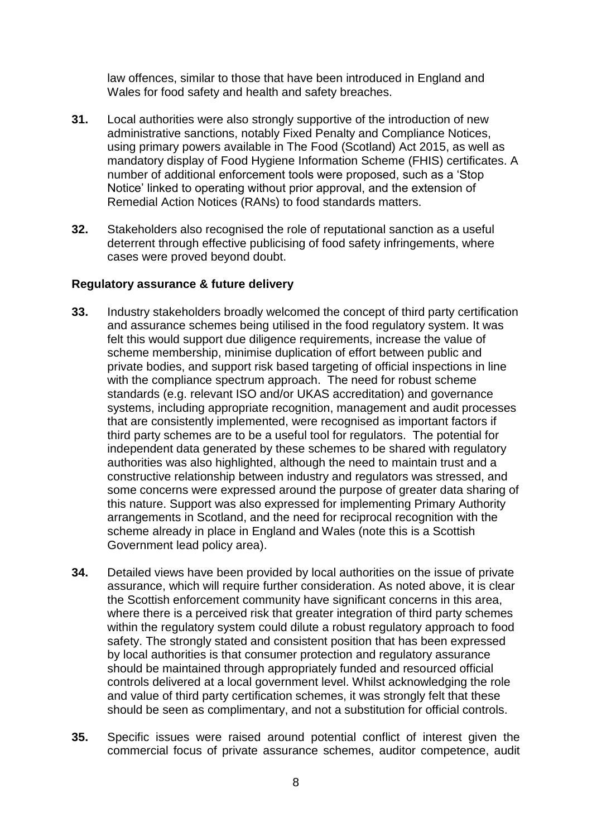law offences, similar to those that have been introduced in England and Wales for food safety and health and safety breaches.

- **31.** Local authorities were also strongly supportive of the introduction of new administrative sanctions, notably Fixed Penalty and Compliance Notices, using primary powers available in The Food (Scotland) Act 2015, as well as mandatory display of Food Hygiene Information Scheme (FHIS) certificates. A number of additional enforcement tools were proposed, such as a 'Stop Notice' linked to operating without prior approval, and the extension of Remedial Action Notices (RANs) to food standards matters.
- **32.** Stakeholders also recognised the role of reputational sanction as a useful deterrent through effective publicising of food safety infringements, where cases were proved beyond doubt.

## **Regulatory assurance & future delivery**

- **33.** Industry stakeholders broadly welcomed the concept of third party certification and assurance schemes being utilised in the food regulatory system. It was felt this would support due diligence requirements, increase the value of scheme membership, minimise duplication of effort between public and private bodies, and support risk based targeting of official inspections in line with the compliance spectrum approach. The need for robust scheme standards (e.g. relevant ISO and/or UKAS accreditation) and governance systems, including appropriate recognition, management and audit processes that are consistently implemented, were recognised as important factors if third party schemes are to be a useful tool for regulators. The potential for independent data generated by these schemes to be shared with regulatory authorities was also highlighted, although the need to maintain trust and a constructive relationship between industry and regulators was stressed, and some concerns were expressed around the purpose of greater data sharing of this nature. Support was also expressed for implementing Primary Authority arrangements in Scotland, and the need for reciprocal recognition with the scheme already in place in England and Wales (note this is a Scottish Government lead policy area).
- **34.** Detailed views have been provided by local authorities on the issue of private assurance, which will require further consideration. As noted above, it is clear the Scottish enforcement community have significant concerns in this area, where there is a perceived risk that greater integration of third party schemes within the regulatory system could dilute a robust regulatory approach to food safety. The strongly stated and consistent position that has been expressed by local authorities is that consumer protection and regulatory assurance should be maintained through appropriately funded and resourced official controls delivered at a local government level. Whilst acknowledging the role and value of third party certification schemes, it was strongly felt that these should be seen as complimentary, and not a substitution for official controls.
- **35.** Specific issues were raised around potential conflict of interest given the commercial focus of private assurance schemes, auditor competence, audit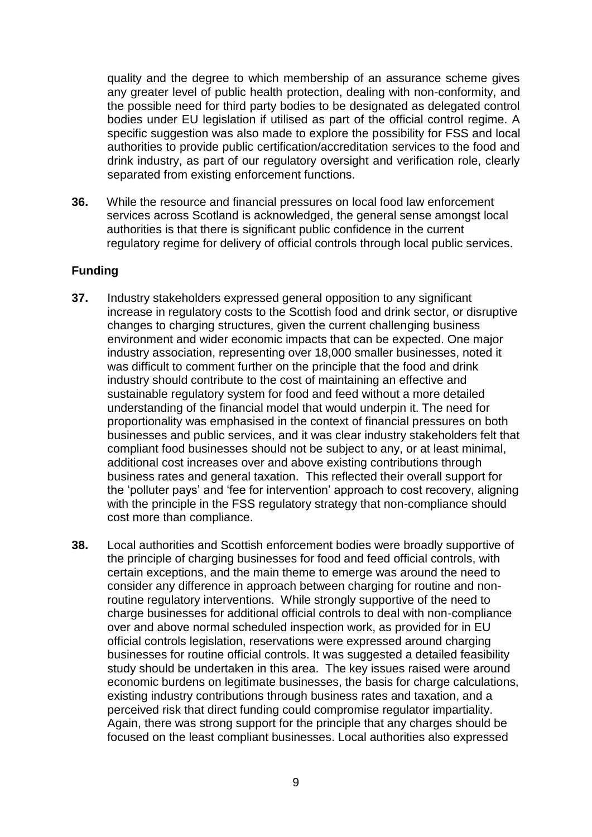quality and the degree to which membership of an assurance scheme gives any greater level of public health protection, dealing with non-conformity, and the possible need for third party bodies to be designated as delegated control bodies under EU legislation if utilised as part of the official control regime. A specific suggestion was also made to explore the possibility for FSS and local authorities to provide public certification/accreditation services to the food and drink industry, as part of our regulatory oversight and verification role, clearly separated from existing enforcement functions.

**36.** While the resource and financial pressures on local food law enforcement services across Scotland is acknowledged, the general sense amongst local authorities is that there is significant public confidence in the current regulatory regime for delivery of official controls through local public services.

## **Funding**

- **37.** Industry stakeholders expressed general opposition to any significant increase in regulatory costs to the Scottish food and drink sector, or disruptive changes to charging structures, given the current challenging business environment and wider economic impacts that can be expected. One major industry association, representing over 18,000 smaller businesses, noted it was difficult to comment further on the principle that the food and drink industry should contribute to the cost of maintaining an effective and sustainable regulatory system for food and feed without a more detailed understanding of the financial model that would underpin it. The need for proportionality was emphasised in the context of financial pressures on both businesses and public services, and it was clear industry stakeholders felt that compliant food businesses should not be subject to any, or at least minimal, additional cost increases over and above existing contributions through business rates and general taxation. This reflected their overall support for the 'polluter pays' and 'fee for intervention' approach to cost recovery, aligning with the principle in the FSS regulatory strategy that non-compliance should cost more than compliance.
- **38.** Local authorities and Scottish enforcement bodies were broadly supportive of the principle of charging businesses for food and feed official controls, with certain exceptions, and the main theme to emerge was around the need to consider any difference in approach between charging for routine and nonroutine regulatory interventions. While strongly supportive of the need to charge businesses for additional official controls to deal with non-compliance over and above normal scheduled inspection work, as provided for in EU official controls legislation, reservations were expressed around charging businesses for routine official controls. It was suggested a detailed feasibility study should be undertaken in this area. The key issues raised were around economic burdens on legitimate businesses, the basis for charge calculations, existing industry contributions through business rates and taxation, and a perceived risk that direct funding could compromise regulator impartiality. Again, there was strong support for the principle that any charges should be focused on the least compliant businesses. Local authorities also expressed